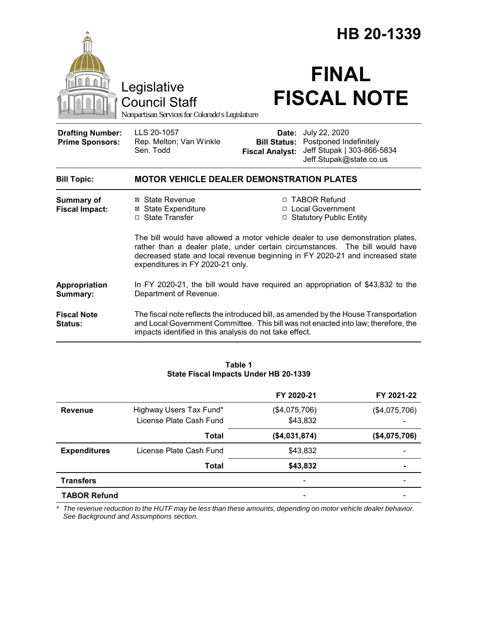|                                                   |                                                                                                                                                                                                                                       | HB 20-1339                      |                                                                                                                                                                                                                                      |  |  |
|---------------------------------------------------|---------------------------------------------------------------------------------------------------------------------------------------------------------------------------------------------------------------------------------------|---------------------------------|--------------------------------------------------------------------------------------------------------------------------------------------------------------------------------------------------------------------------------------|--|--|
|                                                   | Legislative<br><b>Council Staff</b><br>Nonpartisan Services for Colorado's Legislature                                                                                                                                                |                                 | <b>FINAL</b><br><b>FISCAL NOTE</b>                                                                                                                                                                                                   |  |  |
| <b>Drafting Number:</b><br><b>Prime Sponsors:</b> | LLS 20-1057<br>Rep. Melton; Van Winkle<br>Sen. Todd                                                                                                                                                                                   | Date:<br><b>Fiscal Analyst:</b> | July 22, 2020<br><b>Bill Status: Postponed Indefinitely</b><br>Jeff Stupak   303-866-5834<br>Jeff.Stupak@state.co.us                                                                                                                 |  |  |
| <b>Bill Topic:</b>                                | <b>MOTOR VEHICLE DEALER DEMONSTRATION PLATES</b>                                                                                                                                                                                      |                                 |                                                                                                                                                                                                                                      |  |  |
| <b>Summary of</b><br><b>Fiscal Impact:</b>        | ⊠ State Revenue<br><b>⊠</b> State Expenditure<br>□ State Transfer                                                                                                                                                                     |                                 | □ TABOR Refund<br>□ Local Government<br>□ Statutory Public Entity<br>The bill would have allowed a motor vehicle dealer to use demonstration plates,<br>rather than a dealer plate, under certain circumstances. The bill would have |  |  |
|                                                   | decreased state and local revenue beginning in FY 2020-21 and increased state<br>expenditures in FY 2020-21 only.                                                                                                                     |                                 |                                                                                                                                                                                                                                      |  |  |
| <b>Appropriation</b><br>Summary:                  | In FY 2020-21, the bill would have required an appropriation of \$43,832 to the<br>Department of Revenue.                                                                                                                             |                                 |                                                                                                                                                                                                                                      |  |  |
| <b>Fiscal Note</b><br>Status:                     | The fiscal note reflects the introduced bill, as amended by the House Transportation<br>and Local Government Committee. This bill was not enacted into law; therefore, the<br>impacts identified in this analysis do not take effect. |                                 |                                                                                                                                                                                                                                      |  |  |
|                                                   |                                                                                                                                                                                                                                       |                                 |                                                                                                                                                                                                                                      |  |  |

#### **Table 1 State Fiscal Impacts Under HB 20-1339**

|                     |                         | FY 2020-21    | FY 2021-22               |
|---------------------|-------------------------|---------------|--------------------------|
| <b>Revenue</b>      | Highway Users Tax Fund* | (\$4,075,706) | (\$4,075,706)            |
|                     | License Plate Cash Fund | \$43,832      |                          |
|                     | Total                   | (\$4,031,874) | (\$4,075,706)            |
| <b>Expenditures</b> | License Plate Cash Fund | \$43,832      | $\overline{\phantom{0}}$ |
|                     | Total                   | \$43,832      |                          |
| <b>Transfers</b>    |                         |               |                          |
| <b>TABOR Refund</b> |                         |               |                          |

*\* The revenue reduction to the HUTF may be less than these amounts, depending on motor vehicle dealer behavior. See Background and Assumptions section.*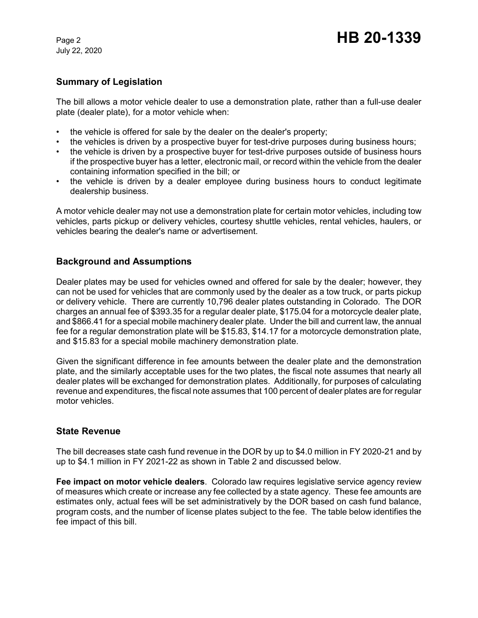July 22, 2020

# **Summary of Legislation**

The bill allows a motor vehicle dealer to use a demonstration plate, rather than a full-use dealer plate (dealer plate), for a motor vehicle when:

- the vehicle is offered for sale by the dealer on the dealer's property;
- the vehicles is driven by a prospective buyer for test-drive purposes during business hours;
- the vehicle is driven by a prospective buyer for test-drive purposes outside of business hours if the prospective buyer has a letter, electronic mail, or record within the vehicle from the dealer containing information specified in the bill; or
- the vehicle is driven by a dealer employee during business hours to conduct legitimate dealership business.

A motor vehicle dealer may not use a demonstration plate for certain motor vehicles, including tow vehicles, parts pickup or delivery vehicles, courtesy shuttle vehicles, rental vehicles, haulers, or vehicles bearing the dealer's name or advertisement.

## **Background and Assumptions**

Dealer plates may be used for vehicles owned and offered for sale by the dealer; however, they can not be used for vehicles that are commonly used by the dealer as a tow truck, or parts pickup or delivery vehicle. There are currently 10,796 dealer plates outstanding in Colorado. The DOR charges an annual fee of \$393.35 for a regular dealer plate, \$175.04 for a motorcycle dealer plate, and \$866.41 for a special mobile machinery dealer plate. Under the bill and current law, the annual fee for a regular demonstration plate will be \$15.83, \$14.17 for a motorcycle demonstration plate, and \$15.83 for a special mobile machinery demonstration plate.

Given the significant difference in fee amounts between the dealer plate and the demonstration plate, and the similarly acceptable uses for the two plates, the fiscal note assumes that nearly all dealer plates will be exchanged for demonstration plates. Additionally, for purposes of calculating revenue and expenditures, the fiscal note assumes that 100 percent of dealer plates are for regular motor vehicles.

## **State Revenue**

The bill decreases state cash fund revenue in the DOR by up to \$4.0 million in FY 2020-21 and by up to \$4.1 million in FY 2021-22 as shown in Table 2 and discussed below.

**Fee impact on motor vehicle dealers**. Colorado law requires legislative service agency review of measures which create or increase any fee collected by a state agency. These fee amounts are estimates only, actual fees will be set administratively by the DOR based on cash fund balance, program costs, and the number of license plates subject to the fee. The table below identifies the fee impact of this bill.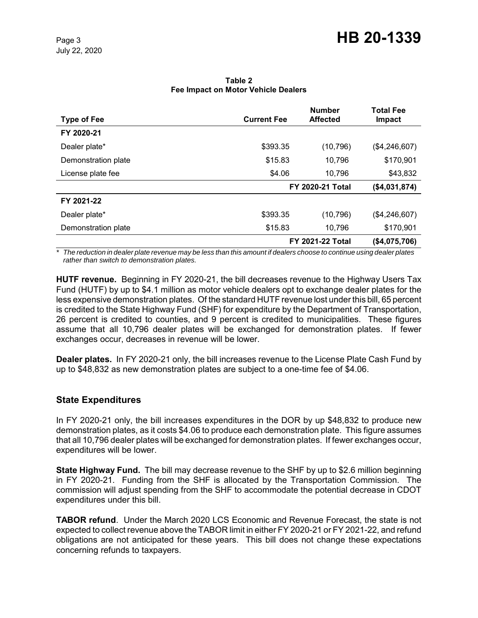| <b>Type of Fee</b>  | <b>Current Fee</b>      | <b>Number</b><br><b>Affected</b> | <b>Total Fee</b><br><b>Impact</b> |
|---------------------|-------------------------|----------------------------------|-----------------------------------|
| FY 2020-21          |                         |                                  |                                   |
| Dealer plate*       | \$393.35                | (10, 796)                        | (\$4,246,607)                     |
| Demonstration plate | \$15.83                 | 10,796                           | \$170,901                         |
| License plate fee   | \$4.06                  | 10,796                           | \$43,832                          |
|                     |                         | <b>FY 2020-21 Total</b>          |                                   |
| FY 2021-22          |                         |                                  |                                   |
| Dealer plate*       | \$393.35                | (10, 796)                        | (\$4,246,607)                     |
| Demonstration plate | \$15.83                 | 10,796                           | \$170,901                         |
|                     | <b>FY 2021-22 Total</b> |                                  | (\$4,075,706)                     |

#### **Table 2 Fee Impact on Motor Vehicle Dealers**

*\* The reduction in dealer plate revenue may be less than this amount if dealers choose to continue using dealer plates rather than switch to demonstration plates.*

**HUTF revenue.** Beginning in FY 2020-21, the bill decreases revenue to the Highway Users Tax Fund (HUTF) by up to \$4.1 million as motor vehicle dealers opt to exchange dealer plates for the less expensive demonstration plates. Of the standard HUTF revenue lost under this bill, 65 percent is credited to the State Highway Fund (SHF) for expenditure by the Department of Transportation, 26 percent is credited to counties, and 9 percent is credited to municipalities. These figures assume that all 10,796 dealer plates will be exchanged for demonstration plates. If fewer exchanges occur, decreases in revenue will be lower.

**Dealer plates.** In FY 2020-21 only, the bill increases revenue to the License Plate Cash Fund by up to \$48,832 as new demonstration plates are subject to a one-time fee of \$4.06.

# **State Expenditures**

In FY 2020-21 only, the bill increases expenditures in the DOR by up \$48,832 to produce new demonstration plates, as it costs \$4.06 to produce each demonstration plate. This figure assumes that all 10,796 dealer plates will be exchanged for demonstration plates. If fewer exchanges occur, expenditures will be lower.

**State Highway Fund.** The bill may decrease revenue to the SHF by up to \$2.6 million beginning in FY 2020-21. Funding from the SHF is allocated by the Transportation Commission. The commission will adjust spending from the SHF to accommodate the potential decrease in CDOT expenditures under this bill.

**TABOR refund**. Under the March 2020 LCS Economic and Revenue Forecast, the state is not expected to collect revenue above the TABOR limit in either FY 2020-21 or FY 2021-22, and refund obligations are not anticipated for these years. This bill does not change these expectations concerning refunds to taxpayers.